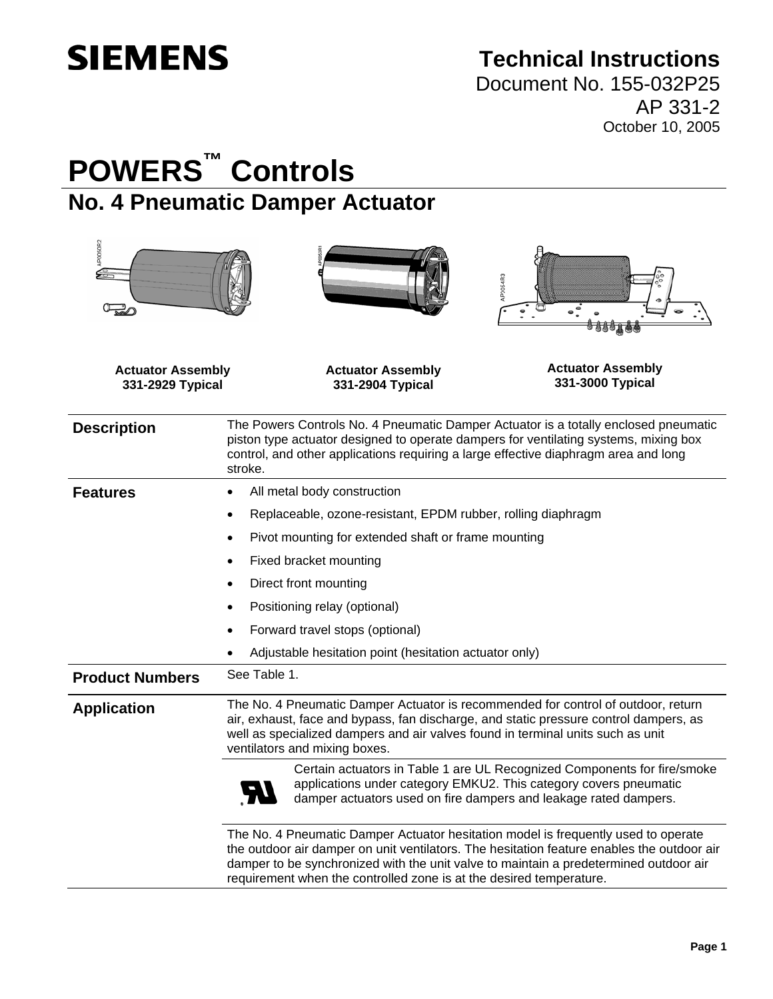# **SIEMENS**

# **Technical Instructions**

Document No. 155-032P25 AP 331-2 October 10, 2005

# **POWERS™ Controls No. 4 Pneumatic Damper Actuator**

| AP0050R2                                     | <b>AP0054R3</b>                                                                                                                                                                                                                                                                                |  |
|----------------------------------------------|------------------------------------------------------------------------------------------------------------------------------------------------------------------------------------------------------------------------------------------------------------------------------------------------|--|
| <b>Actuator Assembly</b><br>331-2929 Typical | <b>Actuator Assembly</b><br><b>Actuator Assembly</b><br>331-3000 Typical<br>331-2904 Typical                                                                                                                                                                                                   |  |
| <b>Description</b>                           | The Powers Controls No. 4 Pneumatic Damper Actuator is a totally enclosed pneumatic<br>piston type actuator designed to operate dampers for ventilating systems, mixing box<br>control, and other applications requiring a large effective diaphragm area and long<br>stroke.                  |  |
| <b>Features</b>                              | All metal body construction<br>$\bullet$                                                                                                                                                                                                                                                       |  |
|                                              | Replaceable, ozone-resistant, EPDM rubber, rolling diaphragm                                                                                                                                                                                                                                   |  |
|                                              | Pivot mounting for extended shaft or frame mounting<br>$\bullet$                                                                                                                                                                                                                               |  |
|                                              | Fixed bracket mounting<br>$\bullet$                                                                                                                                                                                                                                                            |  |
|                                              | Direct front mounting<br>$\bullet$                                                                                                                                                                                                                                                             |  |
|                                              | Positioning relay (optional)<br>$\bullet$                                                                                                                                                                                                                                                      |  |
|                                              | Forward travel stops (optional)<br>$\bullet$                                                                                                                                                                                                                                                   |  |
|                                              | Adjustable hesitation point (hesitation actuator only)                                                                                                                                                                                                                                         |  |
| <b>Product Numbers</b>                       | See Table 1.                                                                                                                                                                                                                                                                                   |  |
| <b>Application</b>                           | The No. 4 Pneumatic Damper Actuator is recommended for control of outdoor, return<br>air, exhaust, face and bypass, fan discharge, and static pressure control dampers, as<br>well as specialized dampers and air valves found in terminal units such as unit<br>ventilators and mixing boxes. |  |
|                                              | Certain actuators in Table 1 are UL Recognized Components for fire/smoke<br>applications under category EMKU2. This category covers pneumatic<br>damper actuators used on fire dampers and leakage rated dampers.                                                                              |  |
|                                              | The No. 4 Pneumatic Damper Actuator hesitation model is frequently used to operate<br>the outdoor air damper on unit ventilators. The hesitation feature enables the outdoor air<br>damper to be synchronized with the unit valve to maintain a predetermined outdoor air                      |  |

requirement when the controlled zone is at the desired temperature.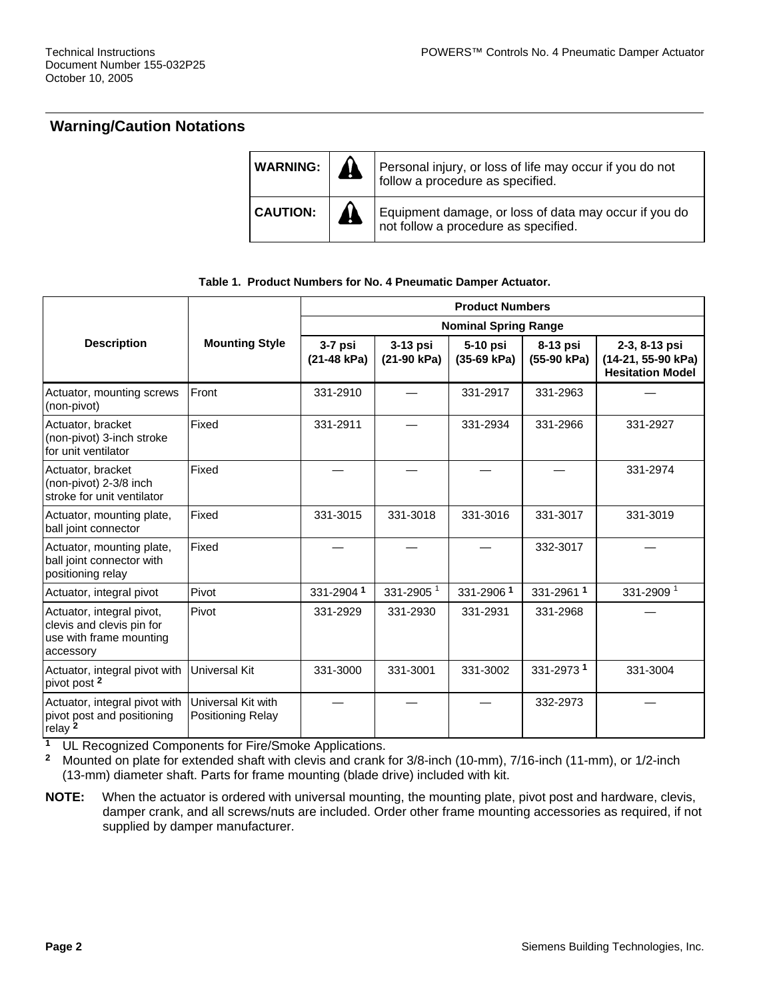## **Warning/Caution Notations**

| WARNING:        | Personal injury, or loss of life may occur if you do not<br>follow a procedure as specified.  |
|-----------------|-----------------------------------------------------------------------------------------------|
| <b>CAUTION:</b> | Equipment damage, or loss of data may occur if you do<br>not follow a procedure as specified. |

#### **Table 1. Product Numbers for No. 4 Pneumatic Damper Actuator.**

|                                                                                                |                                         | <b>Product Numbers</b>      |                           |                         |                         |                                                                |
|------------------------------------------------------------------------------------------------|-----------------------------------------|-----------------------------|---------------------------|-------------------------|-------------------------|----------------------------------------------------------------|
|                                                                                                |                                         | <b>Nominal Spring Range</b> |                           |                         |                         |                                                                |
| <b>Description</b>                                                                             | <b>Mounting Style</b>                   | $3-7$ psi<br>(21-48 kPa)    | $3-13$ psi<br>(21-90 kPa) | 5-10 psi<br>(35-69 kPa) | 8-13 psi<br>(55-90 kPa) | 2-3, 8-13 psi<br>(14-21, 55-90 kPa)<br><b>Hesitation Model</b> |
| Actuator, mounting screws<br>(non-pivot)                                                       | Front                                   | 331-2910                    |                           | 331-2917                | 331-2963                |                                                                |
| Actuator, bracket<br>(non-pivot) 3-inch stroke<br>for unit ventilator                          | Fixed                                   | 331-2911                    |                           | 331-2934                | 331-2966                | 331-2927                                                       |
| Actuator, bracket<br>(non-pivot) 2-3/8 inch<br>stroke for unit ventilator                      | Fixed                                   |                             |                           |                         |                         | 331-2974                                                       |
| Actuator, mounting plate,<br>ball joint connector                                              | Fixed                                   | 331-3015                    | 331-3018                  | 331-3016                | 331-3017                | 331-3019                                                       |
| Actuator, mounting plate,<br>ball joint connector with<br>positioning relay                    | Fixed                                   |                             |                           |                         | 332-3017                |                                                                |
| Actuator, integral pivot                                                                       | Pivot                                   | 331-29041                   | 331-2905 <sup>1</sup>     | 331-29061               | 331-29611               | 331-2909 <sup>1</sup>                                          |
| Actuator, integral pivot,<br>clevis and clevis pin for<br>use with frame mounting<br>accessory | Pivot                                   | 331-2929                    | 331-2930                  | 331-2931                | 331-2968                |                                                                |
| Actuator, integral pivot with<br>pivot post <sup>2</sup>                                       | Universal Kit                           | 331-3000                    | 331-3001                  | 331-3002                | 331-29731               | 331-3004                                                       |
| Actuator, integral pivot with<br>pivot post and positioning<br>relay <sup>2</sup>              | Universal Kit with<br>Positioning Relay |                             |                           |                         | 332-2973                |                                                                |

**<sup>1</sup>** UL Recognized Components for Fire/Smoke Applications.

**<sup>2</sup>** Mounted on plate for extended shaft with clevis and crank for 3/8-inch (10-mm), 7/16-inch (11-mm), or 1/2-inch (13-mm) diameter shaft. Parts for frame mounting (blade drive) included with kit.

**NOTE:** When the actuator is ordered with universal mounting, the mounting plate, pivot post and hardware, clevis, damper crank, and all screws/nuts are included. Order other frame mounting accessories as required, if not supplied by damper manufacturer.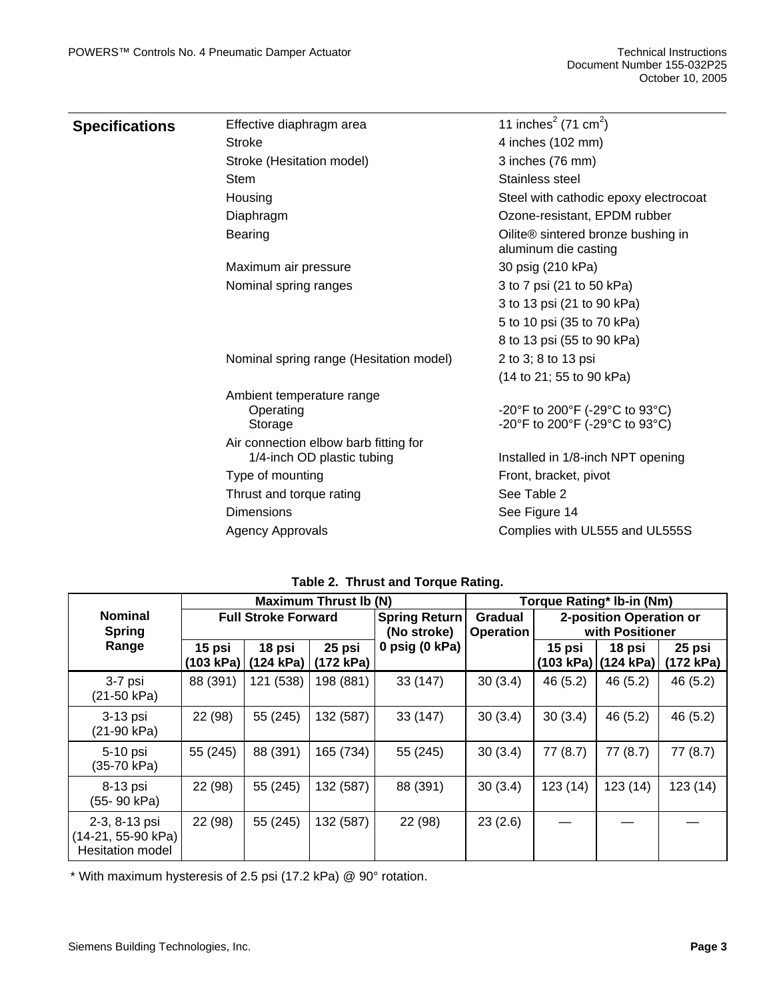| Specifications | Effective diaphragm area                                            | 11 inches <sup>2</sup> (71 cm <sup>2</sup> )               |
|----------------|---------------------------------------------------------------------|------------------------------------------------------------|
|                | <b>Stroke</b>                                                       | 4 inches (102 mm)                                          |
|                | Stroke (Hesitation model)                                           | 3 inches (76 mm)                                           |
|                | <b>Stem</b>                                                         | Stainless steel                                            |
|                | Housing                                                             | Steel with cathodic epoxy electrocoat                      |
|                | Diaphragm                                                           | Ozone-resistant, EPDM rubber                               |
|                | <b>Bearing</b>                                                      | Oilite® sintered bronze bushing in<br>aluminum die casting |
|                | Maximum air pressure                                                | 30 psig (210 kPa)                                          |
|                | Nominal spring ranges                                               | 3 to 7 psi (21 to 50 kPa)                                  |
|                |                                                                     | 3 to 13 psi (21 to 90 kPa)                                 |
|                |                                                                     | 5 to 10 psi (35 to 70 kPa)                                 |
|                |                                                                     | 8 to 13 psi (55 to 90 kPa)                                 |
|                | Nominal spring range (Hesitation model)                             | 2 to 3; 8 to 13 psi                                        |
|                |                                                                     | (14 to 21; 55 to 90 kPa)                                   |
|                | Ambient temperature range                                           |                                                            |
|                | Operating                                                           | -20°F to 200°F (-29°C to 93°C)                             |
|                | Storage                                                             | -20°F to 200°F (-29°C to 93°C)                             |
|                | Air connection elbow barb fitting for<br>1/4-inch OD plastic tubing | Installed in 1/8-inch NPT opening                          |
|                | Type of mounting                                                    | Front, bracket, pivot                                      |
|                | Thrust and torque rating                                            | See Table 2                                                |
|                | <b>Dimensions</b>                                                   | See Figure 14                                              |
|                | Agency Approvals                                                    | Complies with UL555 and UL555S                             |
|                |                                                                     |                                                            |

| Table 2. Thrust and Torque Rating. |  |  |  |  |
|------------------------------------|--|--|--|--|
|------------------------------------|--|--|--|--|

|                                                                | <b>Maximum Thrust Ib (N)</b> |                                             |           |                                                                    | Torque Rating* Ib-in (Nm) |                                            |                                 |                     |
|----------------------------------------------------------------|------------------------------|---------------------------------------------|-----------|--------------------------------------------------------------------|---------------------------|--------------------------------------------|---------------------------------|---------------------|
| <b>Nominal</b><br><b>Spring</b>                                | <b>Full Stroke Forward</b>   |                                             |           | <b>Spring Return</b><br>Gradual<br>(No stroke)<br><b>Operation</b> |                           | 2-position Operation or<br>with Positioner |                                 |                     |
| Range                                                          | 15 psi                       | 18 psi<br>(103 kPa)   (124 kPa)   (172 kPa) | 25 psi    | 0 psig (0 kPa)                                                     |                           | 15 psi                                     | 18 psi<br>(103 kPa)   (124 kPa) | 25 psi<br>(172 kPa) |
| 3-7 psi<br>$(21-50 kPa)$                                       | 88 (391)                     | 121 (538)                                   | 198 (881) | 33 (147)                                                           | 30(3.4)                   | 46 (5.2)                                   | 46 (5.2)                        | 46(5.2)             |
| 3-13 psi<br>$(21-90 kPa)$                                      | 22 (98)                      | 55 (245)                                    | 132 (587) | 33 (147)                                                           | 30(3.4)                   | 30(3.4)                                    | 46 (5.2)                        | 46 (5.2)            |
| 5-10 psi<br>(35-70 kPa)                                        | 55 (245)                     | 88 (391)                                    | 165 (734) | 55 (245)                                                           | 30(3.4)                   | 77(8.7)                                    | 77(8.7)                         | 77 (8.7)            |
| 8-13 psi<br>(55-90 kPa)                                        | 22 (98)                      | 55 (245)                                    | 132 (587) | 88 (391)                                                           | 30(3.4)                   | 123(14)                                    | 123(14)                         | 123(14)             |
| 2-3, 8-13 psi<br>(14-21, 55-90 kPa)<br><b>Hesitation model</b> | 22 (98)                      | 55 (245)                                    | 132 (587) | 22 (98)                                                            | 23(2.6)                   |                                            |                                 |                     |

\* With maximum hysteresis of 2.5 psi (17.2 kPa) @ 90° rotation.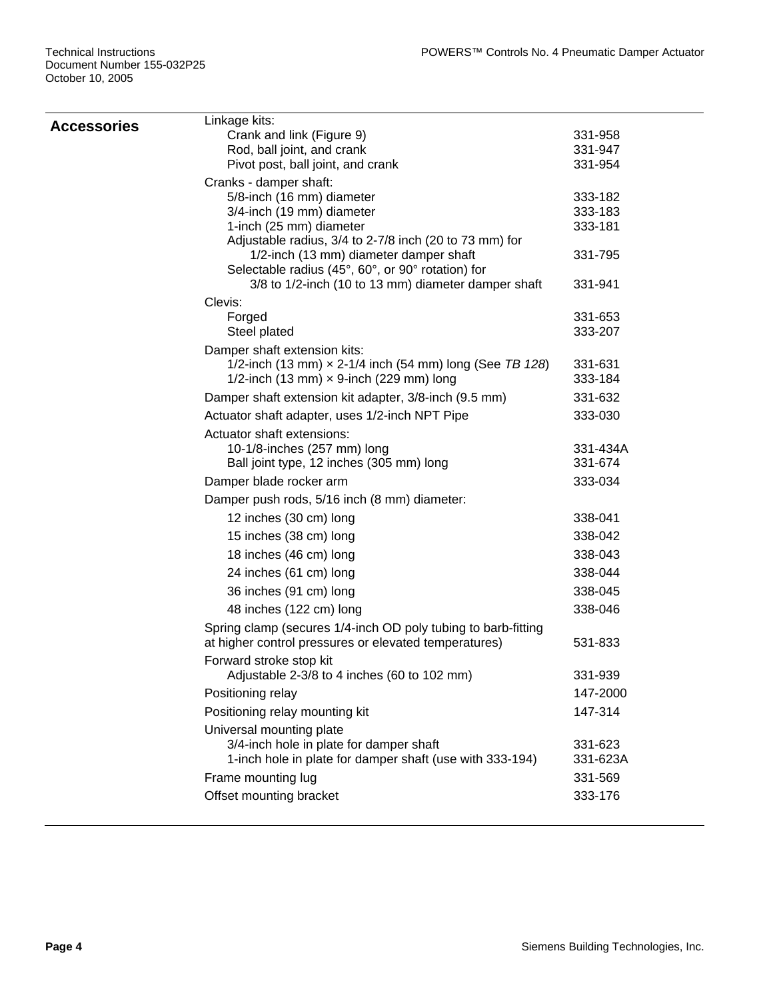| Linkage kits:                                                 |                                                                                                                                                                                                                                                                                                                                                                                                                                                                                                                                                                                                                                                                                                                                                                                                                                                                                                                                                                                                                                                                                        |
|---------------------------------------------------------------|----------------------------------------------------------------------------------------------------------------------------------------------------------------------------------------------------------------------------------------------------------------------------------------------------------------------------------------------------------------------------------------------------------------------------------------------------------------------------------------------------------------------------------------------------------------------------------------------------------------------------------------------------------------------------------------------------------------------------------------------------------------------------------------------------------------------------------------------------------------------------------------------------------------------------------------------------------------------------------------------------------------------------------------------------------------------------------------|
| Crank and link (Figure 9)                                     | 331-958                                                                                                                                                                                                                                                                                                                                                                                                                                                                                                                                                                                                                                                                                                                                                                                                                                                                                                                                                                                                                                                                                |
|                                                               | 331-947                                                                                                                                                                                                                                                                                                                                                                                                                                                                                                                                                                                                                                                                                                                                                                                                                                                                                                                                                                                                                                                                                |
|                                                               | 331-954                                                                                                                                                                                                                                                                                                                                                                                                                                                                                                                                                                                                                                                                                                                                                                                                                                                                                                                                                                                                                                                                                |
|                                                               |                                                                                                                                                                                                                                                                                                                                                                                                                                                                                                                                                                                                                                                                                                                                                                                                                                                                                                                                                                                                                                                                                        |
|                                                               | 333-182                                                                                                                                                                                                                                                                                                                                                                                                                                                                                                                                                                                                                                                                                                                                                                                                                                                                                                                                                                                                                                                                                |
|                                                               | 333-183<br>333-181                                                                                                                                                                                                                                                                                                                                                                                                                                                                                                                                                                                                                                                                                                                                                                                                                                                                                                                                                                                                                                                                     |
|                                                               |                                                                                                                                                                                                                                                                                                                                                                                                                                                                                                                                                                                                                                                                                                                                                                                                                                                                                                                                                                                                                                                                                        |
|                                                               | 331-795                                                                                                                                                                                                                                                                                                                                                                                                                                                                                                                                                                                                                                                                                                                                                                                                                                                                                                                                                                                                                                                                                |
| Selectable radius (45°, 60°, or 90° rotation) for             |                                                                                                                                                                                                                                                                                                                                                                                                                                                                                                                                                                                                                                                                                                                                                                                                                                                                                                                                                                                                                                                                                        |
| 3/8 to 1/2-inch (10 to 13 mm) diameter damper shaft           | 331-941                                                                                                                                                                                                                                                                                                                                                                                                                                                                                                                                                                                                                                                                                                                                                                                                                                                                                                                                                                                                                                                                                |
| Clevis:                                                       |                                                                                                                                                                                                                                                                                                                                                                                                                                                                                                                                                                                                                                                                                                                                                                                                                                                                                                                                                                                                                                                                                        |
|                                                               | 331-653                                                                                                                                                                                                                                                                                                                                                                                                                                                                                                                                                                                                                                                                                                                                                                                                                                                                                                                                                                                                                                                                                |
|                                                               | 333-207                                                                                                                                                                                                                                                                                                                                                                                                                                                                                                                                                                                                                                                                                                                                                                                                                                                                                                                                                                                                                                                                                |
|                                                               |                                                                                                                                                                                                                                                                                                                                                                                                                                                                                                                                                                                                                                                                                                                                                                                                                                                                                                                                                                                                                                                                                        |
|                                                               | 331-631<br>333-184                                                                                                                                                                                                                                                                                                                                                                                                                                                                                                                                                                                                                                                                                                                                                                                                                                                                                                                                                                                                                                                                     |
|                                                               | 331-632                                                                                                                                                                                                                                                                                                                                                                                                                                                                                                                                                                                                                                                                                                                                                                                                                                                                                                                                                                                                                                                                                |
|                                                               |                                                                                                                                                                                                                                                                                                                                                                                                                                                                                                                                                                                                                                                                                                                                                                                                                                                                                                                                                                                                                                                                                        |
|                                                               | 333-030                                                                                                                                                                                                                                                                                                                                                                                                                                                                                                                                                                                                                                                                                                                                                                                                                                                                                                                                                                                                                                                                                |
|                                                               | 331-434A                                                                                                                                                                                                                                                                                                                                                                                                                                                                                                                                                                                                                                                                                                                                                                                                                                                                                                                                                                                                                                                                               |
|                                                               | 331-674                                                                                                                                                                                                                                                                                                                                                                                                                                                                                                                                                                                                                                                                                                                                                                                                                                                                                                                                                                                                                                                                                |
|                                                               | 333-034                                                                                                                                                                                                                                                                                                                                                                                                                                                                                                                                                                                                                                                                                                                                                                                                                                                                                                                                                                                                                                                                                |
|                                                               |                                                                                                                                                                                                                                                                                                                                                                                                                                                                                                                                                                                                                                                                                                                                                                                                                                                                                                                                                                                                                                                                                        |
| 12 inches (30 cm) long                                        | 338-041                                                                                                                                                                                                                                                                                                                                                                                                                                                                                                                                                                                                                                                                                                                                                                                                                                                                                                                                                                                                                                                                                |
| 15 inches (38 cm) long                                        | 338-042                                                                                                                                                                                                                                                                                                                                                                                                                                                                                                                                                                                                                                                                                                                                                                                                                                                                                                                                                                                                                                                                                |
| 18 inches (46 cm) long                                        | 338-043                                                                                                                                                                                                                                                                                                                                                                                                                                                                                                                                                                                                                                                                                                                                                                                                                                                                                                                                                                                                                                                                                |
| 24 inches (61 cm) long                                        | 338-044                                                                                                                                                                                                                                                                                                                                                                                                                                                                                                                                                                                                                                                                                                                                                                                                                                                                                                                                                                                                                                                                                |
| 36 inches (91 cm) long                                        | 338-045                                                                                                                                                                                                                                                                                                                                                                                                                                                                                                                                                                                                                                                                                                                                                                                                                                                                                                                                                                                                                                                                                |
| 48 inches (122 cm) long                                       | 338-046                                                                                                                                                                                                                                                                                                                                                                                                                                                                                                                                                                                                                                                                                                                                                                                                                                                                                                                                                                                                                                                                                |
| Spring clamp (secures 1/4-inch OD poly tubing to barb-fitting |                                                                                                                                                                                                                                                                                                                                                                                                                                                                                                                                                                                                                                                                                                                                                                                                                                                                                                                                                                                                                                                                                        |
|                                                               | 531-833                                                                                                                                                                                                                                                                                                                                                                                                                                                                                                                                                                                                                                                                                                                                                                                                                                                                                                                                                                                                                                                                                |
| Forward stroke stop kit                                       |                                                                                                                                                                                                                                                                                                                                                                                                                                                                                                                                                                                                                                                                                                                                                                                                                                                                                                                                                                                                                                                                                        |
|                                                               | 331-939                                                                                                                                                                                                                                                                                                                                                                                                                                                                                                                                                                                                                                                                                                                                                                                                                                                                                                                                                                                                                                                                                |
|                                                               | 147-2000                                                                                                                                                                                                                                                                                                                                                                                                                                                                                                                                                                                                                                                                                                                                                                                                                                                                                                                                                                                                                                                                               |
|                                                               | 147-314                                                                                                                                                                                                                                                                                                                                                                                                                                                                                                                                                                                                                                                                                                                                                                                                                                                                                                                                                                                                                                                                                |
| Universal mounting plate                                      |                                                                                                                                                                                                                                                                                                                                                                                                                                                                                                                                                                                                                                                                                                                                                                                                                                                                                                                                                                                                                                                                                        |
|                                                               | 331-623                                                                                                                                                                                                                                                                                                                                                                                                                                                                                                                                                                                                                                                                                                                                                                                                                                                                                                                                                                                                                                                                                |
|                                                               | 331-623A                                                                                                                                                                                                                                                                                                                                                                                                                                                                                                                                                                                                                                                                                                                                                                                                                                                                                                                                                                                                                                                                               |
|                                                               | 331-569                                                                                                                                                                                                                                                                                                                                                                                                                                                                                                                                                                                                                                                                                                                                                                                                                                                                                                                                                                                                                                                                                |
|                                                               | 333-176                                                                                                                                                                                                                                                                                                                                                                                                                                                                                                                                                                                                                                                                                                                                                                                                                                                                                                                                                                                                                                                                                |
|                                                               | Rod, ball joint, and crank<br>Pivot post, ball joint, and crank<br>Cranks - damper shaft:<br>5/8-inch (16 mm) diameter<br>3/4-inch (19 mm) diameter<br>1-inch (25 mm) diameter<br>Adjustable radius, 3/4 to 2-7/8 inch (20 to 73 mm) for<br>1/2-inch (13 mm) diameter damper shaft<br>Forged<br>Steel plated<br>Damper shaft extension kits:<br>1/2-inch (13 mm) $\times$ 2-1/4 inch (54 mm) long (See TB 128)<br>1/2-inch (13 mm) $\times$ 9-inch (229 mm) long<br>Damper shaft extension kit adapter, 3/8-inch (9.5 mm)<br>Actuator shaft adapter, uses 1/2-inch NPT Pipe<br>Actuator shaft extensions:<br>10-1/8-inches (257 mm) long<br>Ball joint type, 12 inches (305 mm) long<br>Damper blade rocker arm<br>Damper push rods, 5/16 inch (8 mm) diameter:<br>at higher control pressures or elevated temperatures)<br>Adjustable 2-3/8 to 4 inches (60 to 102 mm)<br>Positioning relay<br>Positioning relay mounting kit<br>3/4-inch hole in plate for damper shaft<br>1-inch hole in plate for damper shaft (use with 333-194)<br>Frame mounting lug<br>Offset mounting bracket |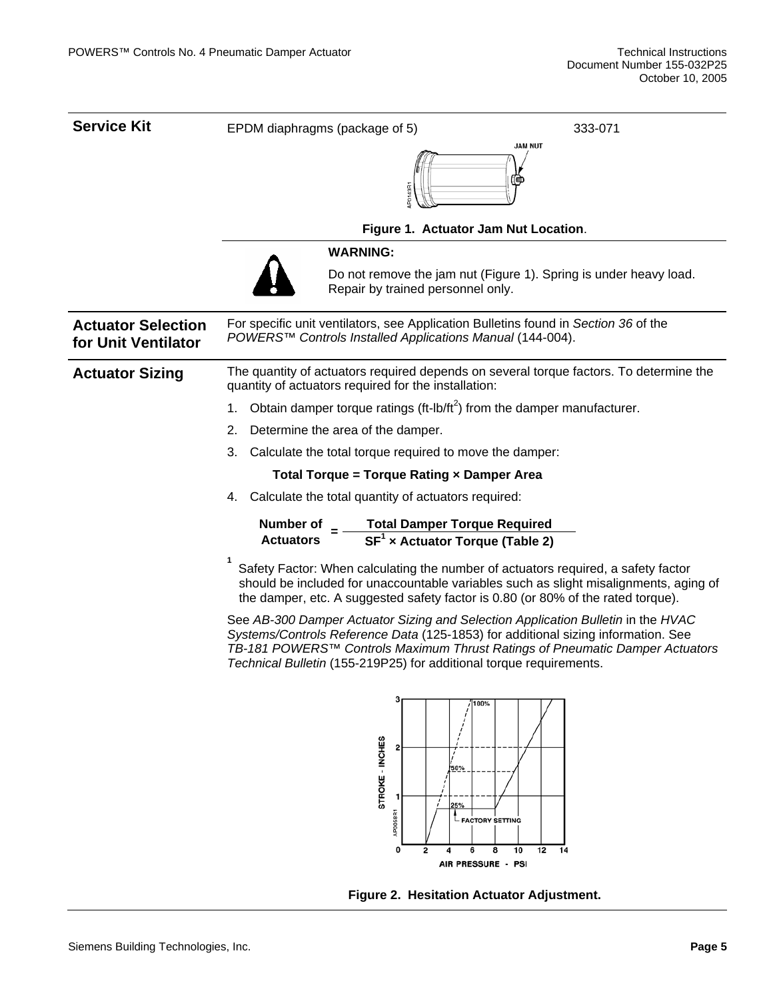| <b>Service Kit</b>                               | EPDM diaphragms (package of 5)<br>333-071                                                                                                                                                                                                                                                                                    |  |  |  |  |
|--------------------------------------------------|------------------------------------------------------------------------------------------------------------------------------------------------------------------------------------------------------------------------------------------------------------------------------------------------------------------------------|--|--|--|--|
|                                                  | <b>JAM NUT</b><br>P0143R                                                                                                                                                                                                                                                                                                     |  |  |  |  |
|                                                  | Figure 1. Actuator Jam Nut Location.                                                                                                                                                                                                                                                                                         |  |  |  |  |
|                                                  | <b>WARNING:</b>                                                                                                                                                                                                                                                                                                              |  |  |  |  |
|                                                  | Do not remove the jam nut (Figure 1). Spring is under heavy load.<br>Repair by trained personnel only.                                                                                                                                                                                                                       |  |  |  |  |
| <b>Actuator Selection</b><br>for Unit Ventilator | For specific unit ventilators, see Application Bulletins found in Section 36 of the<br>POWERS™ Controls Installed Applications Manual (144-004).                                                                                                                                                                             |  |  |  |  |
| <b>Actuator Sizing</b>                           | The quantity of actuators required depends on several torque factors. To determine the<br>quantity of actuators required for the installation:                                                                                                                                                                               |  |  |  |  |
|                                                  | Obtain damper torque ratings (ft-lb/ft <sup>2</sup> ) from the damper manufacturer.<br>1.                                                                                                                                                                                                                                    |  |  |  |  |
|                                                  | 2.<br>Determine the area of the damper.                                                                                                                                                                                                                                                                                      |  |  |  |  |
|                                                  | 3.<br>Calculate the total torque required to move the damper:                                                                                                                                                                                                                                                                |  |  |  |  |
|                                                  | Total Torque = Torque Rating x Damper Area                                                                                                                                                                                                                                                                                   |  |  |  |  |
|                                                  | Calculate the total quantity of actuators required:<br>4.                                                                                                                                                                                                                                                                    |  |  |  |  |
|                                                  | Number of $=$ Total Damper Torque Required<br>Actuators $=$ SF <sup>1</sup> x Actuator Torque (Table 2)                                                                                                                                                                                                                      |  |  |  |  |
|                                                  | Safety Factor: When calculating the number of actuators required, a safety factor<br>should be included for unaccountable variables such as slight misalignments, aging of<br>the damper, etc. A suggested safety factor is 0.80 (or 80% of the rated torque).                                                               |  |  |  |  |
|                                                  | See AB-300 Damper Actuator Sizing and Selection Application Bulletin in the HVAC<br>Systems/Controls Reference Data (125-1853) for additional sizing information. See<br>TB-181 POWERS™ Controls Maximum Thrust Ratings of Pneumatic Damper Actuators<br>Technical Bulletin (155-219P25) for additional torque requirements. |  |  |  |  |
|                                                  | 100%<br>STROKE - INCHES<br>50%<br>25%<br>AP0058R1<br>- FACTORY SETTING<br>8<br>0<br>2<br>6<br>10<br>12<br>14<br>4<br>AIR PRESSURE - PSI                                                                                                                                                                                      |  |  |  |  |

**Figure 2. Hesitation Actuator Adjustment.**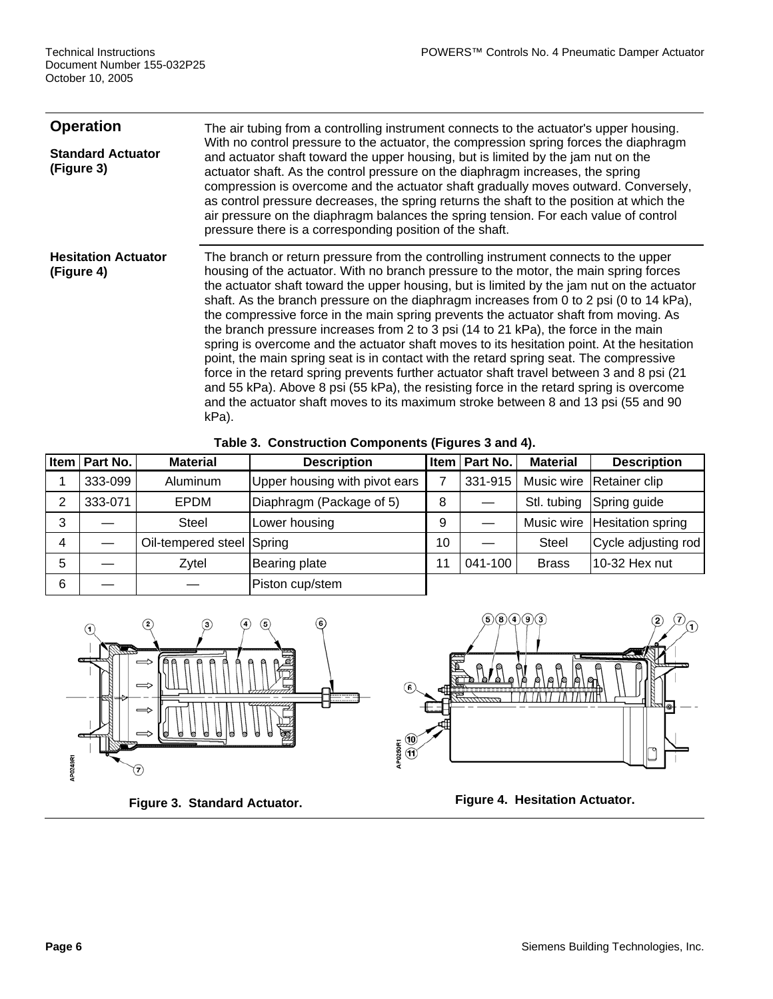| <b>Operation</b><br><b>Standard Actuator</b><br>(Figure 3) | The air tubing from a controlling instrument connects to the actuator's upper housing.<br>With no control pressure to the actuator, the compression spring forces the diaphragm<br>and actuator shaft toward the upper housing, but is limited by the jam nut on the<br>actuator shaft. As the control pressure on the diaphragm increases, the spring<br>compression is overcome and the actuator shaft gradually moves outward. Conversely,<br>as control pressure decreases, the spring returns the shaft to the position at which the<br>air pressure on the diaphragm balances the spring tension. For each value of control<br>pressure there is a corresponding position of the shaft.                                                                                                                                                                                                                                                                                                                                        |
|------------------------------------------------------------|--------------------------------------------------------------------------------------------------------------------------------------------------------------------------------------------------------------------------------------------------------------------------------------------------------------------------------------------------------------------------------------------------------------------------------------------------------------------------------------------------------------------------------------------------------------------------------------------------------------------------------------------------------------------------------------------------------------------------------------------------------------------------------------------------------------------------------------------------------------------------------------------------------------------------------------------------------------------------------------------------------------------------------------|
| <b>Hesitation Actuator</b><br>(Figure 4)                   | The branch or return pressure from the controlling instrument connects to the upper<br>housing of the actuator. With no branch pressure to the motor, the main spring forces<br>the actuator shaft toward the upper housing, but is limited by the jam nut on the actuator<br>shaft. As the branch pressure on the diaphragm increases from 0 to 2 psi (0 to 14 kPa),<br>the compressive force in the main spring prevents the actuator shaft from moving. As<br>the branch pressure increases from 2 to 3 psi (14 to 21 kPa), the force in the main<br>spring is overcome and the actuator shaft moves to its hesitation point. At the hesitation<br>point, the main spring seat is in contact with the retard spring seat. The compressive<br>force in the retard spring prevents further actuator shaft travel between 3 and 8 psi (21)<br>and 55 kPa). Above 8 psi (55 kPa), the resisting force in the retard spring is overcome<br>and the actuator shaft moves to its maximum stroke between 8 and 13 psi (55 and 90<br>kPa). |

**Table 3. Construction Components (Figures 3 and 4).** 

|   | Item   Part No. | <b>Material</b>           | <b>Description</b>            |    | Item   Part No. | <b>Material</b> | <b>Description</b>  |
|---|-----------------|---------------------------|-------------------------------|----|-----------------|-----------------|---------------------|
|   | 333-099         | Aluminum                  | Upper housing with pivot ears |    | 331-915         | Music wire      | Retainer clip       |
| 2 | 333-071         | EPDM                      | Diaphragm (Package of 5)      | 8  |                 | Stl. tubing     | Spring guide        |
| 3 |                 | <b>Steel</b>              | Lower housing                 | 9  |                 | Music wire      | Hesitation spring   |
| 4 |                 | Oil-tempered steel Spring |                               | 10 |                 | <b>Steel</b>    | Cycle adjusting rod |
| 5 |                 | Zytel                     | Bearing plate                 | 11 | 041-100         | <b>Brass</b>    | 10-32 Hex nut       |
| 6 |                 |                           | Piston cup/stem               |    |                 |                 |                     |



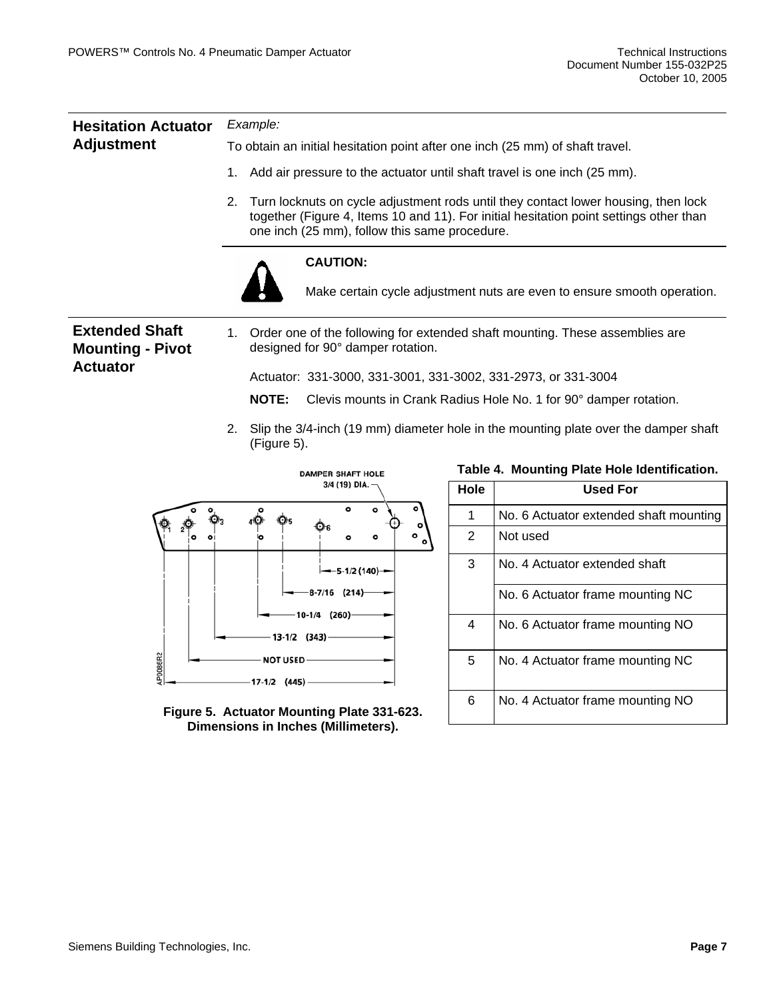| <b>Hesitation Actuator</b>                       | Example:                                                                                                                                                                                                                            |  |  |  |  |  |
|--------------------------------------------------|-------------------------------------------------------------------------------------------------------------------------------------------------------------------------------------------------------------------------------------|--|--|--|--|--|
| <b>Adjustment</b>                                | To obtain an initial hesitation point after one inch (25 mm) of shaft travel.                                                                                                                                                       |  |  |  |  |  |
|                                                  | Add air pressure to the actuator until shaft travel is one inch (25 mm).<br>1.                                                                                                                                                      |  |  |  |  |  |
|                                                  | Turn locknuts on cycle adjustment rods until they contact lower housing, then lock<br>2.<br>together (Figure 4, Items 10 and 11). For initial hesitation point settings other than<br>one inch (25 mm), follow this same procedure. |  |  |  |  |  |
|                                                  | <b>CAUTION:</b><br>Make certain cycle adjustment nuts are even to ensure smooth operation.                                                                                                                                          |  |  |  |  |  |
| <b>Extended Shaft</b><br><b>Mounting - Pivot</b> | 1. Order one of the following for extended shaft mounting. These assemblies are<br>designed for 90° damper rotation.                                                                                                                |  |  |  |  |  |
| <b>Actuator</b>                                  | Actuator: 331-3000, 331-3001, 331-3002, 331-2973, or 331-3004                                                                                                                                                                       |  |  |  |  |  |
|                                                  | <b>NOTE:</b><br>Clevis mounts in Crank Radius Hole No. 1 for 90° damper rotation.                                                                                                                                                   |  |  |  |  |  |
|                                                  |                                                                                                                                                                                                                                     |  |  |  |  |  |

2. Slip the 3/4-inch (19 mm) diameter hole in the mounting plate over the damper shaft (Figure 5).



**Dimensions in Inches (Millimeters).** 

| Table 4. Mounting Plate Hole Identification. |  |
|----------------------------------------------|--|
|----------------------------------------------|--|

| 3/4 (19) DIA.                                                                       | <b>Hole</b> | <b>Used For</b>                        |
|-------------------------------------------------------------------------------------|-------------|----------------------------------------|
| $\circ$                                                                             |             | No. 6 Actuator extended shaft mounting |
| ۰<br>۰<br>Ο<br>۰                                                                    | 2           | Not used                               |
| $-$ 5-1/2 (140)-                                                                    | 3           | No. 4 Actuator extended shaft          |
| $-8-7/16$ (214)                                                                     |             | No. 6 Actuator frame mounting NC       |
| 10-1/4<br>(260)<br>$13-1/2$ $(343)$                                                 | 4           | No. 6 Actuator frame mounting NO       |
| <b>NOT USED-</b><br>$17-1/2$ (445)                                                  | 5           | No. 4 Actuator frame mounting NC       |
| Figure 5. Actuator Mounting Plate 331-623.<br>.: :    /MA:  :\<br><b>Blue - - -</b> | 6           | No. 4 Actuator frame mounting NO       |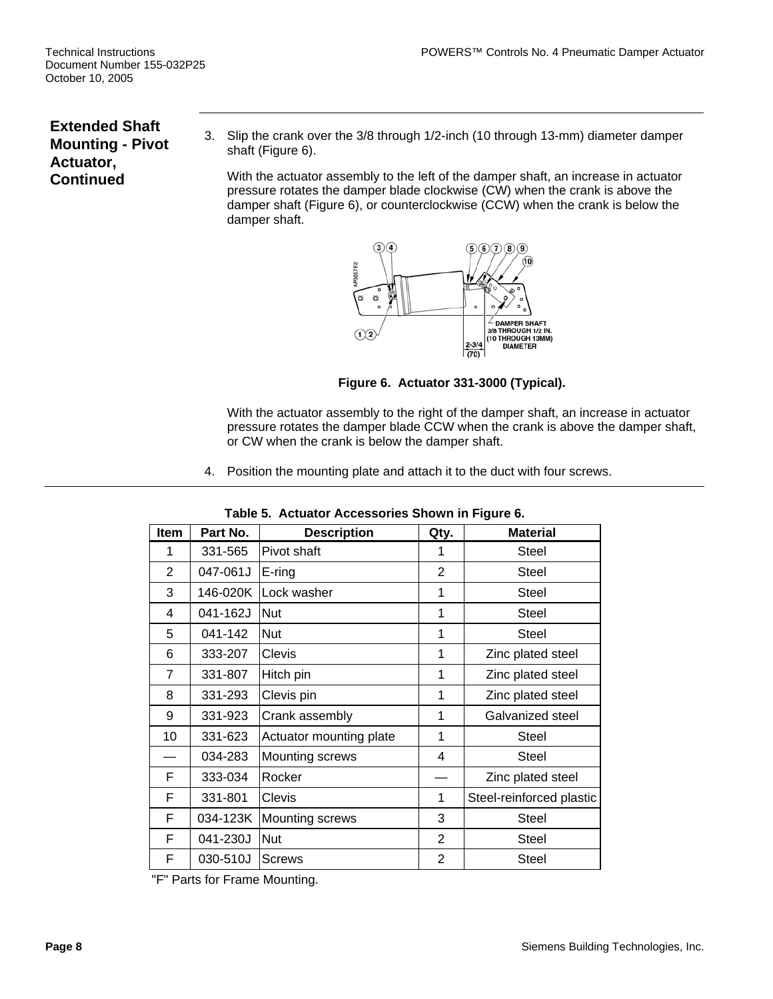### **Extended Shaft Mounting - Pivot Actuator, Continued**

3. Slip the crank over the 3/8 through 1/2-inch (10 through 13-mm) diameter damper shaft (Figure 6).

With the actuator assembly to the left of the damper shaft, an increase in actuator pressure rotates the damper blade clockwise (CW) when the crank is above the damper shaft (Figure 6), or counterclockwise (CCW) when the crank is below the damper shaft.



**Figure 6. Actuator 331-3000 (Typical).** 

With the actuator assembly to the right of the damper shaft, an increase in actuator pressure rotates the damper blade CCW when the crank is above the damper shaft, or CW when the crank is below the damper shaft.

4. Position the mounting plate and attach it to the duct with four screws.

| Item           | Part No. | <b>Description</b>      | Qty.           | <b>Material</b>          |
|----------------|----------|-------------------------|----------------|--------------------------|
| 1              | 331-565  | Pivot shaft             | 1              | <b>Steel</b>             |
| $\overline{2}$ | 047-061J | $E$ -ring               | 2              | <b>Steel</b>             |
| 3              | 146-020K | Lock washer             | 1              | <b>Steel</b>             |
| 4              | 041-162J | <b>Nut</b>              | 1              | Steel                    |
| 5              | 041-142  | <b>Nut</b>              | 1              | <b>Steel</b>             |
| 6              | 333-207  | <b>Clevis</b>           | 1              | Zinc plated steel        |
| $\overline{7}$ | 331-807  | Hitch pin               | 1              | Zinc plated steel        |
| 8              | 331-293  | Clevis pin              | 1              | Zinc plated steel        |
| 9              | 331-923  | Crank assembly          | 1              | Galvanized steel         |
| 10             | 331-623  | Actuator mounting plate | 1              | <b>Steel</b>             |
|                | 034-283  | Mounting screws         | 4              | Steel                    |
| F              | 333-034  | Rocker                  |                | Zinc plated steel        |
| F              | 331-801  | Clevis                  | 1              | Steel-reinforced plastic |
| F              | 034-123K | <b>Mounting screws</b>  | 3              | <b>Steel</b>             |
| F              | 041-230J | <b>Nut</b>              | $\overline{2}$ | <b>Steel</b>             |
| F              | 030-510J | <b>Screws</b>           | 2              | <b>Steel</b>             |

**Table 5. Actuator Accessories Shown in Figure 6.** 

"F" Parts for Frame Mounting.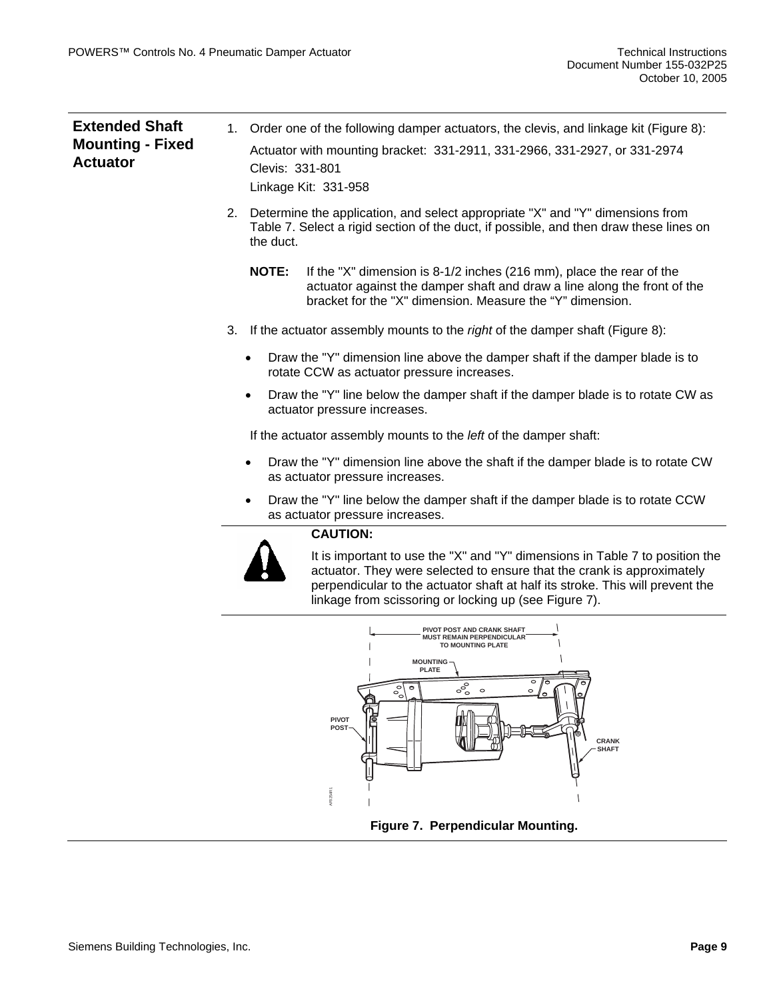| <b>Extended Shaft</b><br><b>Mounting - Fixed</b><br><b>Actuator</b> |    | Order one of the following damper actuators, the clevis, and linkage kit (Figure 8):<br>$1_{\cdot}$<br>Actuator with mounting bracket: 331-2911, 331-2966, 331-2927, or 331-2974<br>Clevis: 331-801                                                                                              |  |  |
|---------------------------------------------------------------------|----|--------------------------------------------------------------------------------------------------------------------------------------------------------------------------------------------------------------------------------------------------------------------------------------------------|--|--|
|                                                                     |    | Linkage Kit: 331-958                                                                                                                                                                                                                                                                             |  |  |
|                                                                     | 2. | Determine the application, and select appropriate "X" and "Y" dimensions from<br>Table 7. Select a rigid section of the duct, if possible, and then draw these lines on<br>the duct.                                                                                                             |  |  |
|                                                                     |    | <b>NOTE:</b><br>If the "X" dimension is 8-1/2 inches (216 mm), place the rear of the<br>actuator against the damper shaft and draw a line along the front of the<br>bracket for the "X" dimension. Measure the "Y" dimension.                                                                    |  |  |
|                                                                     | 3. | If the actuator assembly mounts to the right of the damper shaft (Figure 8):                                                                                                                                                                                                                     |  |  |
|                                                                     |    | Draw the "Y" dimension line above the damper shaft if the damper blade is to<br>$\bullet$<br>rotate CCW as actuator pressure increases.                                                                                                                                                          |  |  |
|                                                                     |    | Draw the "Y" line below the damper shaft if the damper blade is to rotate CW as<br>٠<br>actuator pressure increases.                                                                                                                                                                             |  |  |
|                                                                     |    | If the actuator assembly mounts to the <i>left</i> of the damper shaft:                                                                                                                                                                                                                          |  |  |
|                                                                     |    | Draw the "Y" dimension line above the shaft if the damper blade is to rotate CW<br>$\bullet$<br>as actuator pressure increases.                                                                                                                                                                  |  |  |
|                                                                     |    | Draw the "Y" line below the damper shaft if the damper blade is to rotate CCW<br>as actuator pressure increases.                                                                                                                                                                                 |  |  |
|                                                                     |    | <b>CAUTION:</b>                                                                                                                                                                                                                                                                                  |  |  |
|                                                                     |    | It is important to use the "X" and "Y" dimensions in Table 7 to position the<br>actuator. They were selected to ensure that the crank is approximately<br>perpendicular to the actuator shaft at half its stroke. This will prevent the<br>linkage from scissoring or locking up (see Figure 7). |  |  |
|                                                                     |    | PIVOT POST AND CRANK SHAFT                                                                                                                                                                                                                                                                       |  |  |



**Figure 7. Perpendicular Mounting.**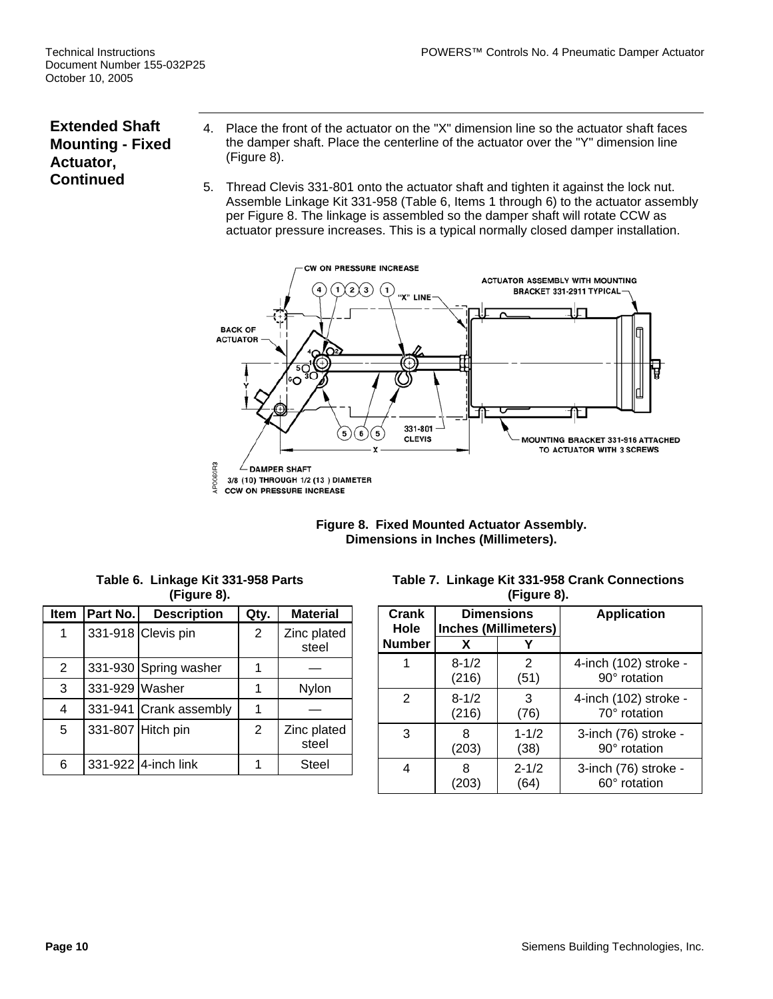### **Extended Shaft Mounting - Fixed Actuator, Continued**

- 4. Place the front of the actuator on the "X" dimension line so the actuator shaft faces the damper shaft. Place the centerline of the actuator over the "Y" dimension line (Figure 8).
- 5. Thread Clevis 331-801 onto the actuator shaft and tighten it against the lock nut. Assemble Linkage Kit 331-958 (Table 6, Items 1 through 6) to the actuator assembly per Figure 8. The linkage is assembled so the damper shaft will rotate CCW as actuator pressure increases. This is a typical normally closed damper installation.





**Table 6. Linkage Kit 331-958 Parts (Figure 8).** 

| <b>Item</b> | Part No.       | <b>Description</b>     | Qty. | <b>Material</b>      |
|-------------|----------------|------------------------|------|----------------------|
| 1           |                | 331-918 Clevis pin     | 2    | Zinc plated<br>steel |
| 2           |                | 331-930 Spring washer  | 1    |                      |
| 3           | 331-929 Washer |                        | 1    | Nylon                |
| 4           |                | 331-941 Crank assembly | 1    |                      |
| 5           |                | 331-807 Hitch pin      | 2    | Zinc plated<br>steel |
| 6           |                | 331-922 4-inch link    |      | Steel                |

**Table 7. Linkage Kit 331-958 Crank Connections (Figure 8).** 

| Crank<br>Hole | <b>Dimensions</b><br><b>Inches (Millimeters)</b> |           | <b>Application</b>    |
|---------------|--------------------------------------------------|-----------|-----------------------|
| <b>Number</b> | x                                                |           |                       |
|               | $8 - 1/2$                                        | 2         | 4-inch (102) stroke - |
|               | (216)                                            | (51)      | 90° rotation          |
| 2             | $8 - 1/2$                                        | 3         | 4-inch (102) stroke - |
|               | (216)                                            | (76)      | 70° rotation          |
| 3             | 8                                                | $1 - 1/2$ | 3-inch (76) stroke -  |
|               | (203)                                            | (38)      | 90° rotation          |
| 4             | 8                                                | $2 - 1/2$ | 3-inch (76) stroke -  |
|               | (203)                                            | (64)      | 60° rotation          |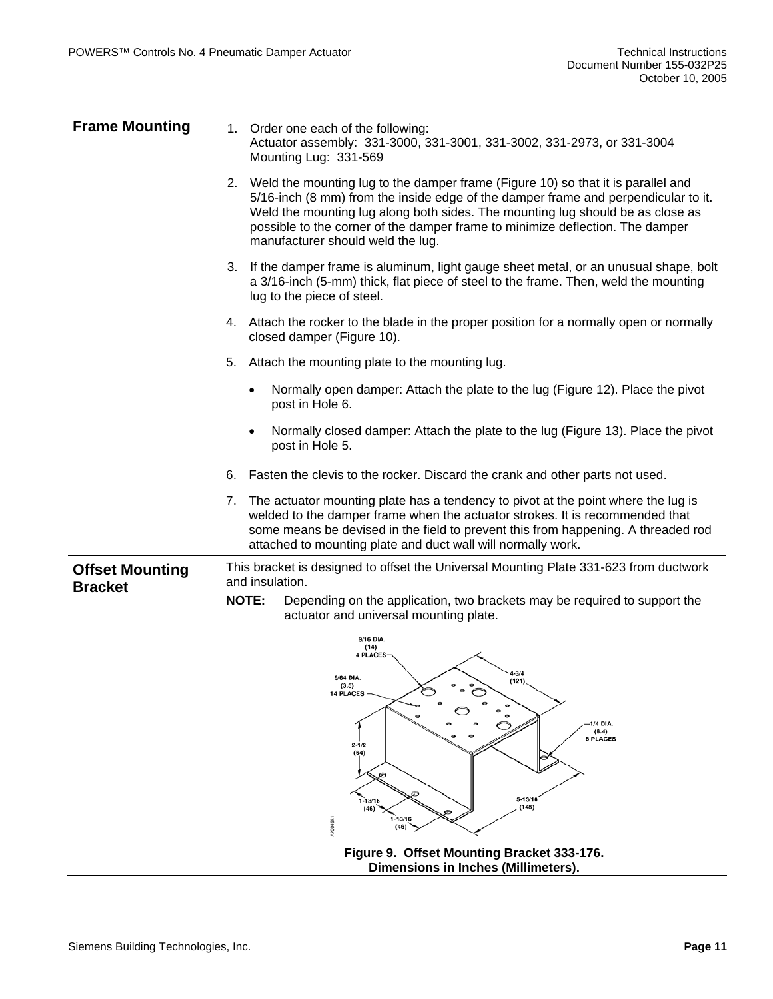| <b>Frame Mounting</b>                    |    | 1. Order one each of the following:<br>Actuator assembly: 331-3000, 331-3001, 331-3002, 331-2973, or 331-3004<br>Mounting Lug: 331-569                                                                                                                                                                                                                                            |
|------------------------------------------|----|-----------------------------------------------------------------------------------------------------------------------------------------------------------------------------------------------------------------------------------------------------------------------------------------------------------------------------------------------------------------------------------|
|                                          |    | 2. Weld the mounting lug to the damper frame (Figure 10) so that it is parallel and<br>5/16-inch (8 mm) from the inside edge of the damper frame and perpendicular to it.<br>Weld the mounting lug along both sides. The mounting lug should be as close as<br>possible to the corner of the damper frame to minimize deflection. The damper<br>manufacturer should weld the lug. |
|                                          |    | 3. If the damper frame is aluminum, light gauge sheet metal, or an unusual shape, bolt<br>a 3/16-inch (5-mm) thick, flat piece of steel to the frame. Then, weld the mounting<br>lug to the piece of steel.                                                                                                                                                                       |
|                                          |    | 4. Attach the rocker to the blade in the proper position for a normally open or normally<br>closed damper (Figure 10).                                                                                                                                                                                                                                                            |
|                                          | 5. | Attach the mounting plate to the mounting lug.                                                                                                                                                                                                                                                                                                                                    |
|                                          |    | Normally open damper: Attach the plate to the lug (Figure 12). Place the pivot<br>$\bullet$<br>post in Hole 6.                                                                                                                                                                                                                                                                    |
|                                          |    | Normally closed damper: Attach the plate to the lug (Figure 13). Place the pivot<br>$\bullet$<br>post in Hole 5.                                                                                                                                                                                                                                                                  |
|                                          | 6. | Fasten the clevis to the rocker. Discard the crank and other parts not used.                                                                                                                                                                                                                                                                                                      |
|                                          |    | 7. The actuator mounting plate has a tendency to pivot at the point where the lug is<br>welded to the damper frame when the actuator strokes. It is recommended that<br>some means be devised in the field to prevent this from happening. A threaded rod<br>attached to mounting plate and duct wall will normally work.                                                         |
| <b>Offset Mounting</b><br><b>Bracket</b> |    | This bracket is designed to offset the Universal Mounting Plate 331-623 from ductwork<br>and insulation.<br><b>NOTE:</b><br>Depending on the application, two brackets may be required to support the                                                                                                                                                                             |
|                                          |    | actuator and universal mounting plate.                                                                                                                                                                                                                                                                                                                                            |
|                                          |    | 9/16 DIA.<br>(14)<br>4 PLACES                                                                                                                                                                                                                                                                                                                                                     |
|                                          |    | $4 - 3/4$<br>9/64 DIA<br>(121)<br>(3.5)<br><b>14 PLACES</b>                                                                                                                                                                                                                                                                                                                       |
|                                          |    | 1/4 DIA.<br>(6.4)<br><b>6 PLACES</b><br>$2 - 1/2$<br>(64)<br>ల                                                                                                                                                                                                                                                                                                                    |
|                                          |    | $5 - 13/16$<br>$1 - 13/16$<br>(148)<br>(46)<br>$1 - 13/16$<br>AP0046R<br>(46)                                                                                                                                                                                                                                                                                                     |
|                                          |    | Figure 9. Offset Mounting Bracket 333-176.<br>Dimensions in Inches (Millimeters).                                                                                                                                                                                                                                                                                                 |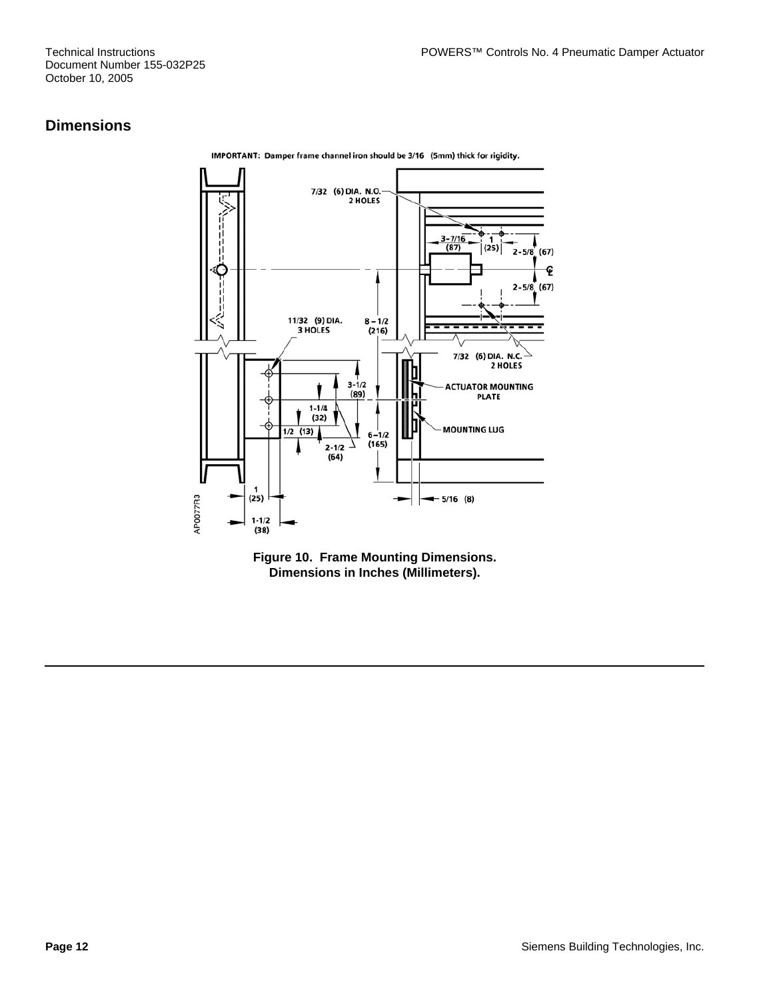Document Number 155-032P25 October 10, 2005

#### **Dimensions**



IMPORTANT: Damper frame channel iron should be 3/16 (5mm) thick for rigidity.

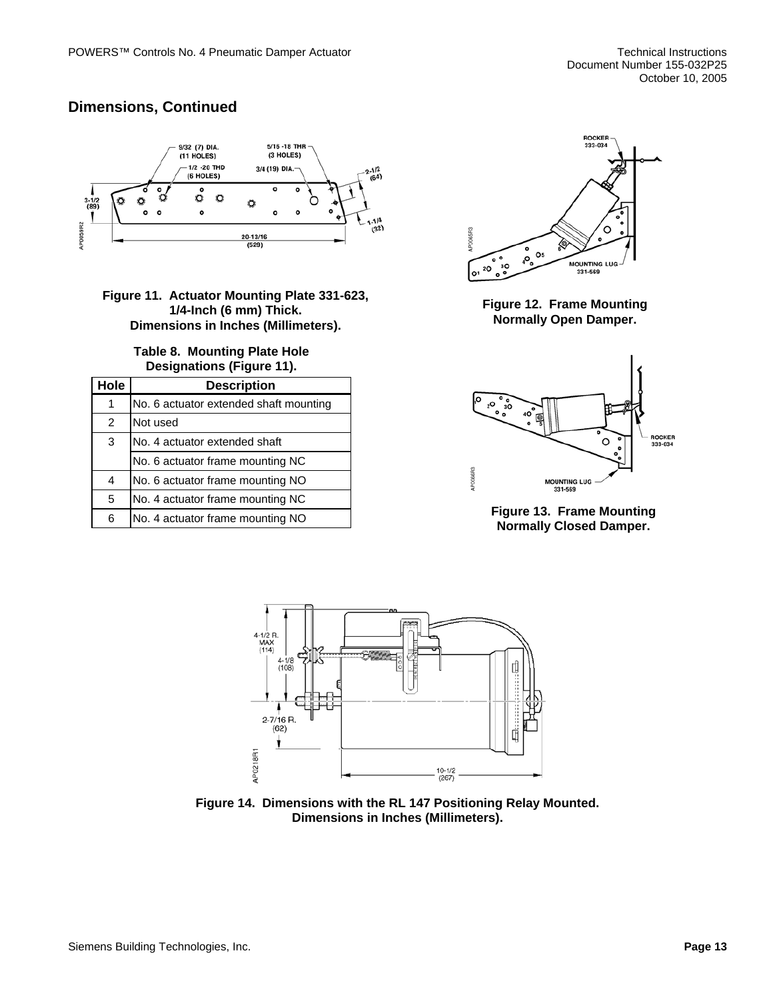## **Dimensions, Continued**



**Figure 11. Actuator Mounting Plate 331-623, 1/4-Inch (6 mm) Thick. Dimensions in Inches (Millimeters).** 

#### **Table 8. Mounting Plate Hole Designations (Figure 11).**

| Hole | <b>Description</b>                     |
|------|----------------------------------------|
| 1    | No. 6 actuator extended shaft mounting |
| 2    | Not used                               |
| 3    | No. 4 actuator extended shaft          |
|      | No. 6 actuator frame mounting NC       |
| 4    | No. 6 actuator frame mounting NO       |
| 5    | No. 4 actuator frame mounting NC       |
| 6    | No. 4 actuator frame mounting NO       |



**Figure 12. Frame Mounting Normally Open Damper.** 







**Figure 14. Dimensions with the RL 147 Positioning Relay Mounted. Dimensions in Inches (Millimeters).**